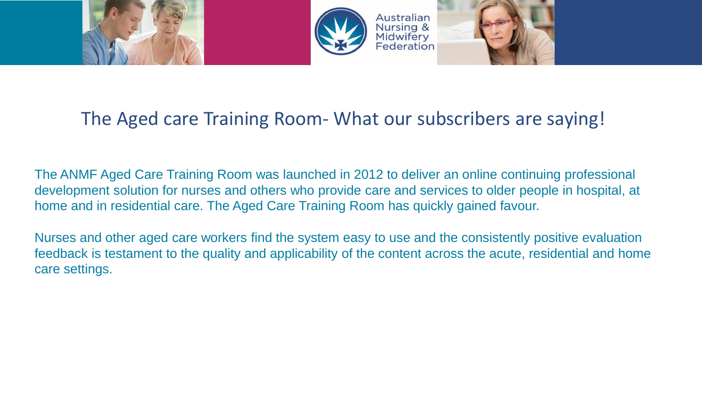

## The Aged care Training Room- What our subscribers are saying!

The ANMF Aged Care Training Room was launched in 2012 to deliver an online continuing professional development solution for nurses and others who provide care and services to older people in hospital, at home and in residential care. The Aged Care Training Room has quickly gained favour.

Nurses and other aged care workers find the system easy to use and the consistently positive evaluation feedback is testament to the quality and applicability of the content across the acute, residential and home care settings.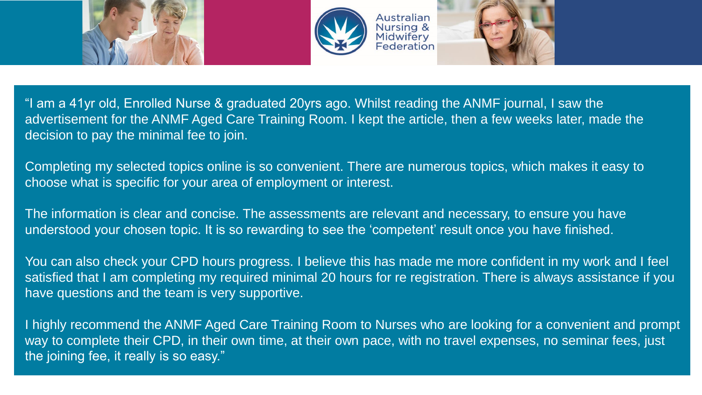





"I am a 41yr old, Enrolled Nurse & graduated 20yrs ago. Whilst reading the ANMF journal, I saw the advertisement for the ANMF Aged Care Training Room. I kept the article, then a few weeks later, made the decision to pay the minimal fee to join.

Completing my selected topics online is so convenient. There are numerous topics, which makes it easy to choose what is specific for your area of employment or interest.

The information is clear and concise. The assessments are relevant and necessary, to ensure you have understood your chosen topic. It is so rewarding to see the 'competent' result once you have finished.

You can also check your CPD hours progress. I believe this has made me more confident in my work and I feel satisfied that I am completing my required minimal 20 hours for re registration. There is always assistance if you have questions and the team is very supportive.

I highly recommend the ANMF Aged Care Training Room to Nurses who are looking for a convenient and prompt way to complete their CPD, in their own time, at their own pace, with no travel expenses, no seminar fees, just the joining fee, it really is so easy."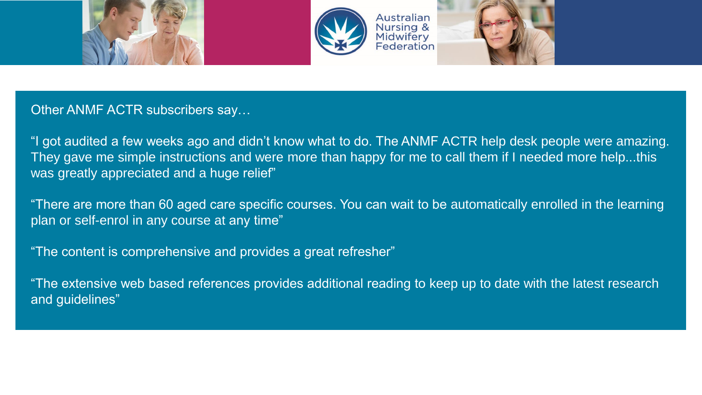



## Other ANMF ACTR subscribers say…

"I got audited a few weeks ago and didn't know what to do. The ANMF ACTR help desk people were amazing. They gave me simple instructions and were more than happy for me to call them if I needed more help...this was greatly appreciated and a huge relief"

"There are more than 60 aged care specific courses. You can wait to be automatically enrolled in the learning plan or self-enrol in any course at any time"

"The content is comprehensive and provides a great refresher"

"The extensive web based references provides additional reading to keep up to date with the latest research and guidelines"